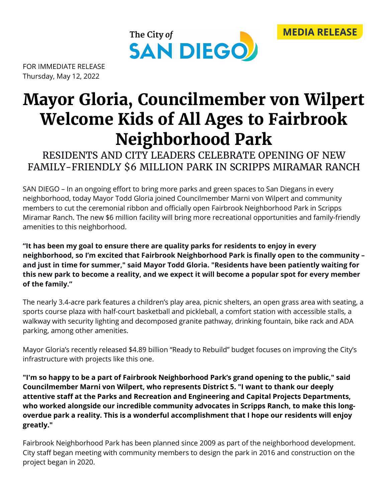



FOR IMMEDIATE RELEASE Thursday, May 12, 2022

## **Mayor Gloria, Councilmember von Wilpert Welcome Kids of All Ages to Fairbrook Neighborhood Park**

RESIDENTS AND CITY LEADERS CELEBRATE OPENING OF NEW FAMILY-FRIENDLY \$6 MILLION PARK IN SCRIPPS MIRAMAR RANCH

SAN DIEGO – In an ongoing effort to bring more parks and green spaces to San Diegans in every neighborhood, today Mayor Todd Gloria joined Councilmember Marni von Wilpert and community members to cut the ceremonial ribbon and officially open Fairbrook Neighborhood Park in Scripps Miramar Ranch. The new \$6 million facility will bring more recreational opportunities and family-friendly amenities to this neighborhood.

**"It has been my goal to ensure there are quality parks for residents to enjoy in every neighborhood, so I'm excited that Fairbrook Neighborhood Park is finally open to the community – and just in time for summer," said Mayor Todd Gloria. "Residents have been patiently waiting for this new park to become a reality, and we expect it will become a popular spot for every member of the family."**

The nearly 3.4-acre park features a children's play area, picnic shelters, an open grass area with seating, a sports course plaza with half-court basketball and pickleball, a comfort station with accessible stalls, a walkway with security lighting and decomposed granite pathway, drinking fountain, bike rack and ADA parking, among other amenities.

Mayor Gloria's recently released \$4.89 billion "Ready to Rebuild" budget focuses on improving the City's infrastructure with projects like this one.

**"I'm so happy to be a part of Fairbrook Neighborhood Park's grand opening to the public," said Councilmember Marni von Wilpert, who represents District 5. "I want to thank our deeply attentive staff at the Parks and Recreation and Engineering and Capital Projects Departments, who worked alongside our incredible community advocates in Scripps Ranch, to make this longoverdue park a reality. This is a wonderful accomplishment that I hope our residents will enjoy greatly."**

Fairbrook Neighborhood Park has been planned since 2009 as part of the neighborhood development. City staff began meeting with community members to design the park in 2016 and construction on the project began in 2020.